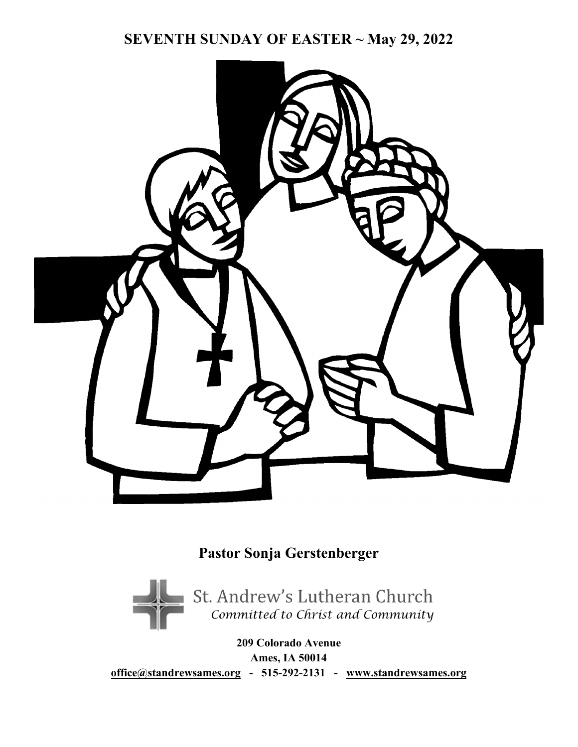# **SEVENTH SUNDAY OF EASTER ~ May 29, 2022**



**Pastor Sonja Gerstenberger**



**209 Colorado Avenue Ames, IA 50014 [office@standrewsames.org](mailto:office@standrewsames.org) - 515-292-2131 - [www.standrewsames.org](http://www.standrewsames.org/)**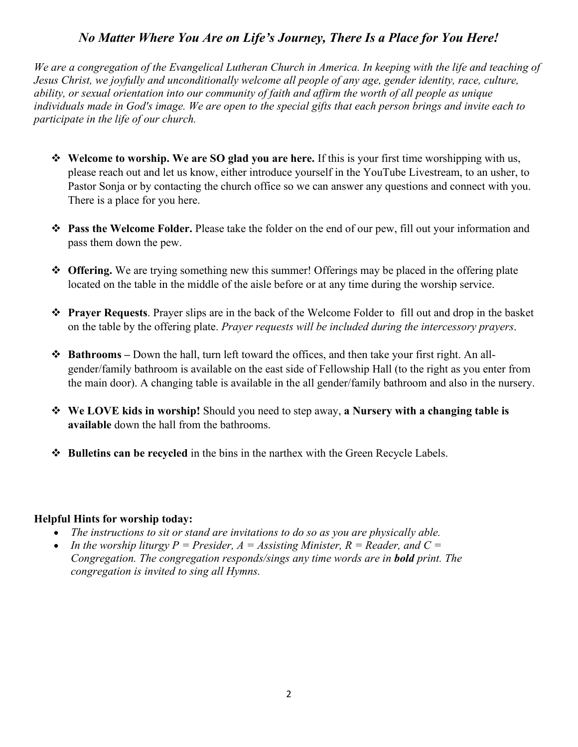# *No Matter Where You Are on Life's Journey, There Is a Place for You Here!*

*We are a congregation of the Evangelical Lutheran Church in America. In keeping with the life and teaching of Jesus Christ, we joyfully and unconditionally welcome all people of any age, gender identity, race, culture, ability, or sexual orientation into our community of faith and affirm the worth of all people as unique individuals made in God's image. We are open to the special gifts that each person brings and invite each to participate in the life of our church.*

- **Welcome to worship. We are SO glad you are here.** If this is your first time worshipping with us, please reach out and let us know, either introduce yourself in the YouTube Livestream, to an usher, to Pastor Sonja or by contacting the church office so we can answer any questions and connect with you. There is a place for you here.
- **Pass the Welcome Folder.** Please take the folder on the end of our pew, fill out your information and pass them down the pew.
- **Offering.** We are trying something new this summer! Offerings may be placed in the offering plate located on the table in the middle of the aisle before or at any time during the worship service.
- **Prayer Requests**. Prayer slips are in the back of the Welcome Folder to fill out and drop in the basket on the table by the offering plate. *Prayer requests will be included during the intercessory prayers*.
- **Bathrooms –** Down the hall, turn left toward the offices, and then take your first right. An allgender/family bathroom is available on the east side of Fellowship Hall (to the right as you enter from the main door). A changing table is available in the all gender/family bathroom and also in the nursery.
- **We LOVE kids in worship!** Should you need to step away, **a Nursery with a changing table is available** down the hall from the bathrooms.
- $\triangle$  Bulletins can be recycled in the bins in the narthex with the Green Recycle Labels.

# **Helpful Hints for worship today:**

- *The instructions to sit or stand are invitations to do so as you are physically able.*
- In the worship liturgy  $P = \text{Presider}, A = \text{Assisting Minister}, R = \text{Reader}, and C = \text{`}$ *Congregation. The congregation responds/sings any time words are in bold print. The congregation is invited to sing all Hymns.*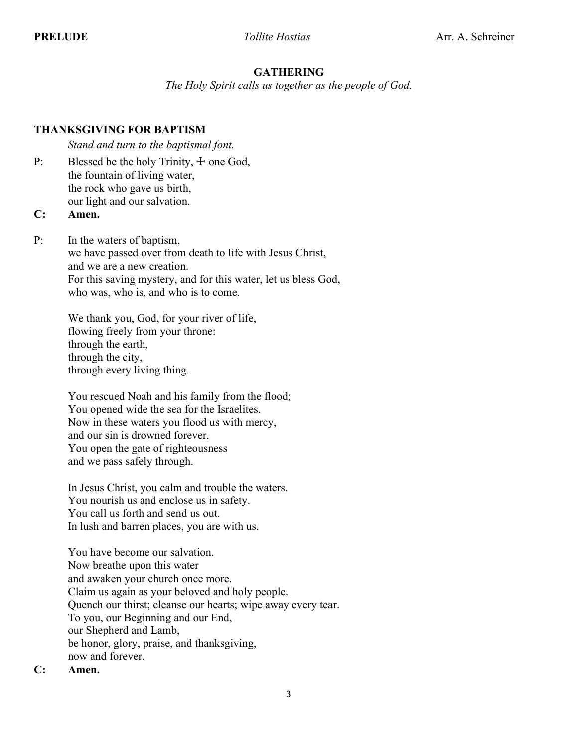# **GATHERING**

*The Holy Spirit calls us together as the people of God.*

# **THANKSGIVING FOR BAPTISM**

*Stand and turn to the baptismal font.*

P: Blessed be the holy Trinity,  $\pm$  one God, the fountain of living water, the rock who gave us birth, our light and our salvation.

**C: Amen.**

P: In the waters of baptism, we have passed over from death to life with Jesus Christ, and we are a new creation. For this saving mystery, and for this water, let us bless God, who was, who is, and who is to come.

> We thank you, God, for your river of life, flowing freely from your throne: through the earth, through the city, through every living thing.

You rescued Noah and his family from the flood; You opened wide the sea for the Israelites. Now in these waters you flood us with mercy, and our sin is drowned forever. You open the gate of righteousness and we pass safely through.

In Jesus Christ, you calm and trouble the waters. You nourish us and enclose us in safety. You call us forth and send us out. In lush and barren places, you are with us.

You have become our salvation. Now breathe upon this water and awaken your church once more. Claim us again as your beloved and holy people. Quench our thirst; cleanse our hearts; wipe away every tear. To you, our Beginning and our End, our Shepherd and Lamb, be honor, glory, praise, and thanksgiving, now and forever.

#### **C: Amen.**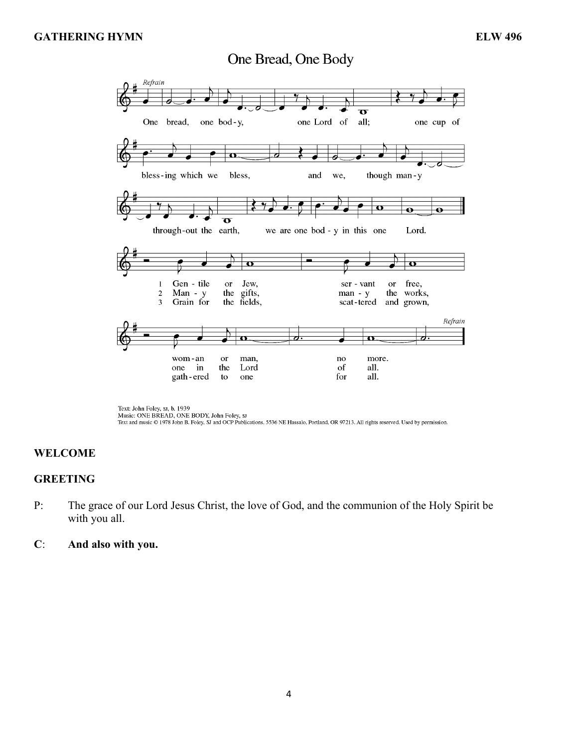# One Bread, One Body



Text: John Foley, ss, b. 1939 Exa: Com Forcy, ay, 0. 1999<br>Music: ONE BREAD, ONE BODY, John Foley, st<br>Text and music © 1978 John B. Foley, SJ and OCP Publications, 5536 NE Hassalo, Portland, OR 97213. All rights reserved. Used by permission.

#### **WELCOME**

#### **GREETING**

- P: The grace of our Lord Jesus Christ, the love of God, and the communion of the Holy Spirit be with you all.
- **C**: **And also with you.**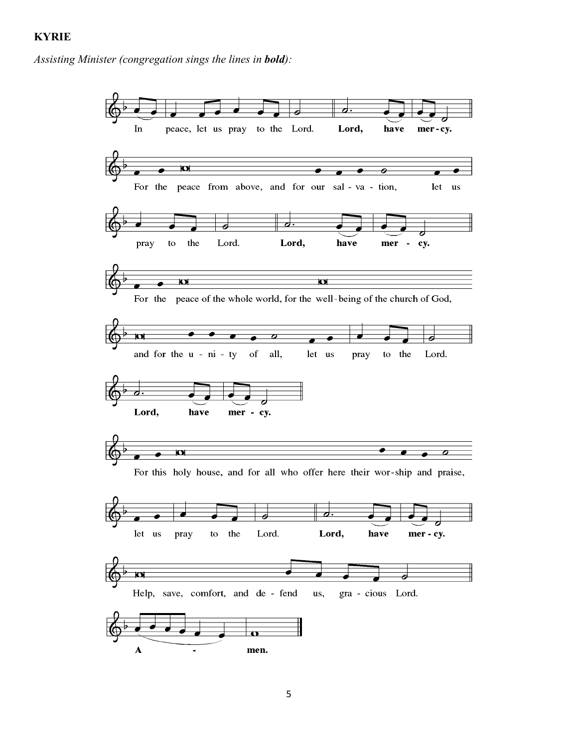# **KYRIE**

*Assisting Minister (congregation sings the lines in bold):*

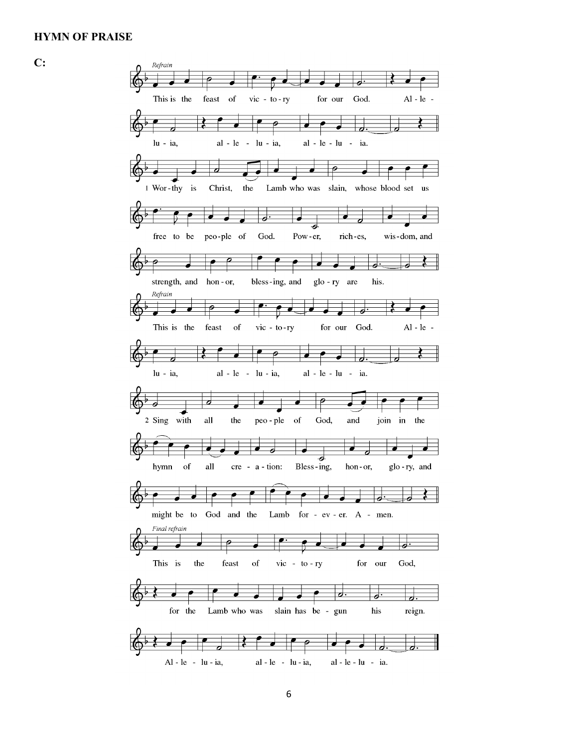#### **HYMN OF PRAISE**

**C:**



6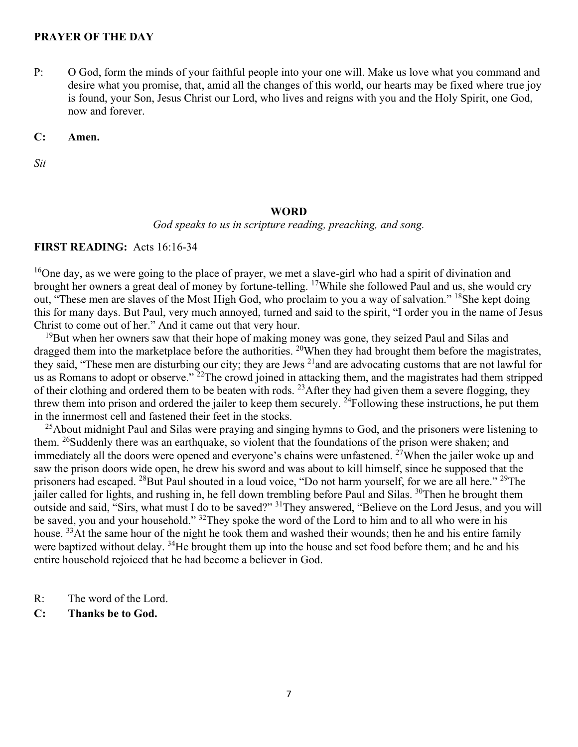#### **PRAYER OF THE DAY**

- P: O God, form the minds of your faithful people into your one will. Make us love what you command and desire what you promise, that, amid all the changes of this world, our hearts may be fixed where true joy is found, your Son, Jesus Christ our Lord, who lives and reigns with you and the Holy Spirit, one God, now and forever.
- **C: Amen.**

*Sit*

#### **WORD**

*God speaks to us in scripture reading, preaching, and song.*

#### **FIRST READING:** Acts 16:16-34

<sup>16</sup>One day, as we were going to the place of prayer, we met a slave-girl who had a spirit of divination and brought her owners a great deal of money by fortune-telling. 17While she followed Paul and us, she would cry out, "These men are slaves of the Most High God, who proclaim to you a way of salvation." <sup>18</sup>She kept doing this for many days. But Paul, very much annoyed, turned and said to the spirit, "I order you in the name of Jesus Christ to come out of her." And it came out that very hour.

<sup>19</sup>But when her owners saw that their hope of making money was gone, they seized Paul and Silas and dragged them into the marketplace before the authorities. <sup>20</sup>When they had brought them before the magistrates, they said, "These men are disturbing our city; they are Jews 21and are advocating customs that are not lawful for us as Romans to adopt or observe." <sup>22</sup>The crowd joined in attacking them, and the magistrates had them stripped of their clothing and ordered them to be beaten with rods. <sup>23</sup>After they had given them a severe flogging, they threw them into prison and ordered the jailer to keep them securely.  $^{24}$ Following these instructions, he put them in the innermost cell and fastened their feet in the stocks.

<sup>25</sup>About midnight Paul and Silas were praying and singing hymns to God, and the prisoners were listening to them. <sup>26</sup>Suddenly there was an earthquake, so violent that the foundations of the prison were shaken; and immediately all the doors were opened and everyone's chains were unfastened.  $2\overline{7}$ When the jailer woke up and saw the prison doors wide open, he drew his sword and was about to kill himself, since he supposed that the prisoners had escaped. <sup>28</sup>But Paul shouted in a loud voice, "Do not harm yourself, for we are all here." <sup>29</sup>The jailer called for lights, and rushing in, he fell down trembling before Paul and Silas. 30Then he brought them outside and said, "Sirs, what must I do to be saved?" 31They answered, "Believe on the Lord Jesus, and you will be saved, you and your household." 32They spoke the word of the Lord to him and to all who were in his house. <sup>33</sup>At the same hour of the night he took them and washed their wounds; then he and his entire family were baptized without delay. <sup>34</sup>He brought them up into the house and set food before them; and he and his entire household rejoiced that he had become a believer in God.

- R: The word of the Lord.
- **C: Thanks be to God.**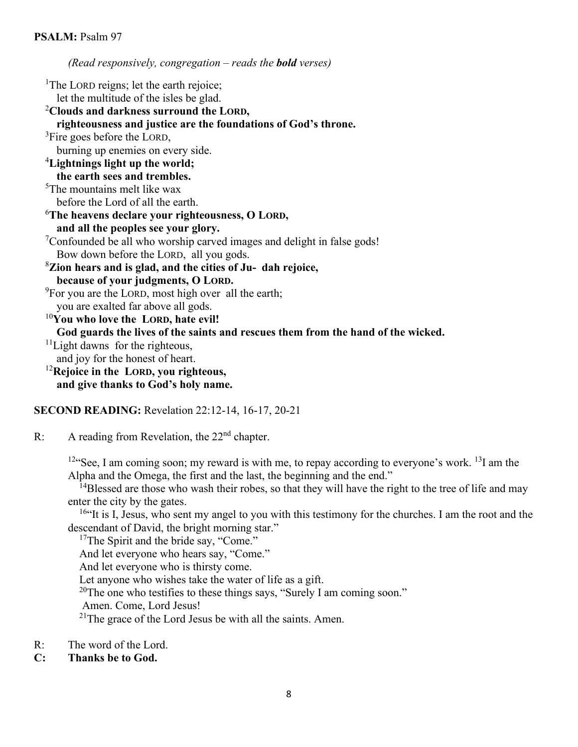*(Read responsively, congregation – reads the bold verses)*

<sup>1</sup>The LORD reigns; let the earth rejoice; let the multitude of the isles be glad. 2 **Clouds and darkness surround the LORD, righteousness and justice are the foundations of God's throne.** <sup>3</sup>Fire goes before the LORD, burning up enemies on every side. 4 **Lightnings light up the world; the earth sees and trembles.** 5 The mountains melt like wax before the Lord of all the earth. 6 **The heavens declare your righteousness, O LORD, and all the peoples see your glory.**  $7$ Confounded be all who worship carved images and delight in false gods! Bow down before the LORD, all you gods. 8 **Zion hears and is glad, and the cities of Ju- dah rejoice, because of your judgments, O LORD.**  ${}^{9}$ For you are the LORD, most high over all the earth; you are exalted far above all gods. <sup>10</sup>**You who love the LORD, hate evil! God guards the lives of the saints and rescues them from the hand of the wicked.**  $11$ Light dawns for the righteous, and joy for the honest of heart. <sup>12</sup>**Rejoice in the LORD, you righteous, and give thanks to God's holy name.**

# **SECOND READING:** Revelation 22:12-14, 16-17, 20-21

R: A reading from Revelation, the  $22<sup>nd</sup>$  chapter.

 $12$ "See, I am coming soon; my reward is with me, to repay according to everyone's work.  $13$ I am the Alpha and the Omega, the first and the last, the beginning and the end."

 $14B$ lessed are those who wash their robes, so that they will have the right to the tree of life and may enter the city by the gates.

 $16$ "It is I, Jesus, who sent my angel to you with this testimony for the churches. I am the root and the descendant of David, the bright morning star."

<sup>17</sup>The Spirit and the bride say, "Come."

And let everyone who hears say, "Come."

And let everyone who is thirsty come.

Let anyone who wishes take the water of life as a gift.

 $20$ The one who testifies to these things says, "Surely I am coming soon."

Amen. Come, Lord Jesus!

 $21$ The grace of the Lord Jesus be with all the saints. Amen.

- R: The word of the Lord.
- **C: Thanks be to God.**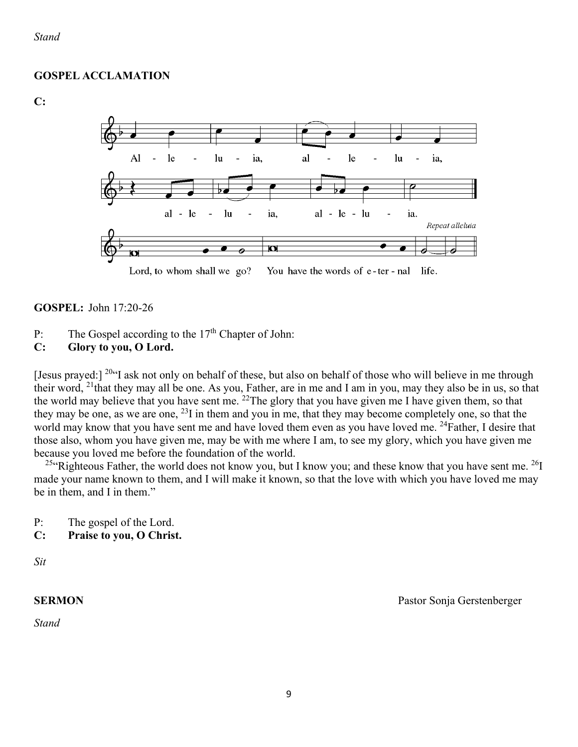# **GOSPEL ACCLAMATION**

**C:**



**GOSPEL:** John 17:20-26

- P: The Gospel according to the  $17<sup>th</sup>$  Chapter of John:
- **C: Glory to you, O Lord.**

[Jesus prayed:]  $^{20}$ "I ask not only on behalf of these, but also on behalf of those who will believe in me through their word,  $^{21}$ that they may all be one. As you, Father, are in me and I am in you, may they also be in us, so that the world may believe that you have sent me. 22The glory that you have given me I have given them, so that they may be one, as we are one, 23I in them and you in me, that they may become completely one, so that the world may know that you have sent me and have loved them even as you have loved me. <sup>24</sup>Father, I desire that those also, whom you have given me, may be with me where I am, to see my glory, which you have given me because you loved me before the foundation of the world.

<sup>25</sup>"Righteous Father, the world does not know you, but I know you; and these know that you have sent me. <sup>26</sup>I made your name known to them, and I will make it known, so that the love with which you have loved me may be in them, and I in them."

- P: The gospel of the Lord.
- **C: Praise to you, O Christ.**

*Sit*

*Stand*

**SERMON Pastor Sonja Gerstenberger**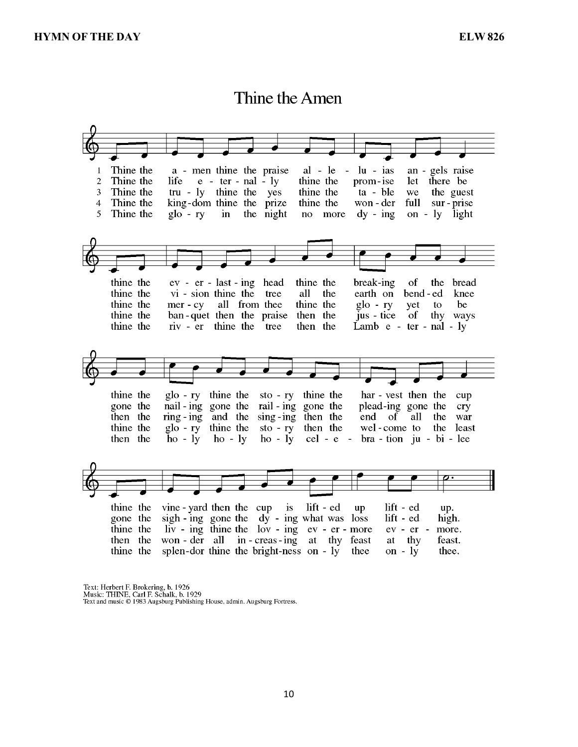

Text: Herbert F. Brokering, b. 1926 Lext: Herbert F. Brokering, b. 1926<br>Music: THINE, Carl F. Schalk, b. 1929<br>Text and music © 1983 Augsburg Publishing House, admin. Augsburg Fortress.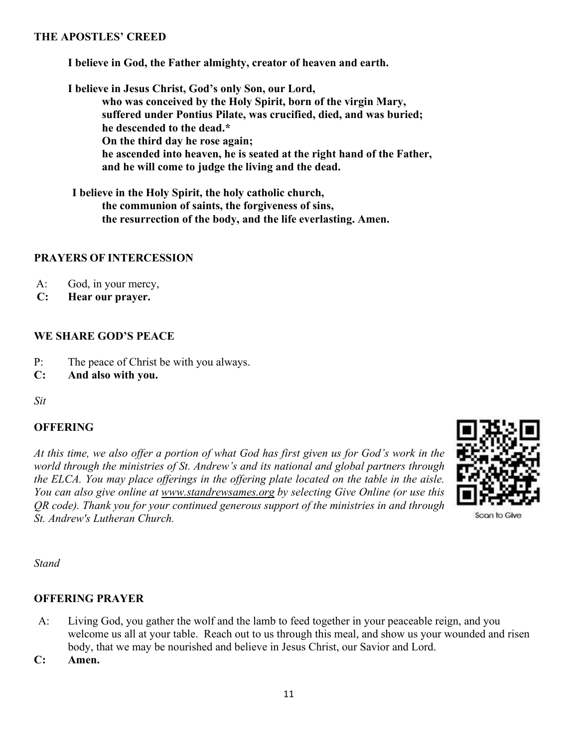#### **THE APOSTLES' CREED**

**I believe in God, the Father almighty, creator of heaven and earth.**

**I believe in Jesus Christ, God's only Son, our Lord, who was conceived by the Holy Spirit, born of the virgin Mary, suffered under Pontius Pilate, was crucified, died, and was buried; he descended to the dead.\* On the third day he rose again; he ascended into heaven, he is seated at the right hand of the Father, and he will come to judge the living and the dead.**

**I believe in the Holy Spirit, the holy catholic church, the communion of saints, the forgiveness of sins, the resurrection of the body, and the life everlasting. Amen.**

#### **PRAYERS OF INTERCESSION**

- A: God, in your mercy,
- **C: Hear our prayer.**

#### **WE SHARE GOD'S PEACE**

- P: The peace of Christ be with you always.
- **C: And also with you.**

*Sit*

#### **OFFERING**

*At this time, we also offer a portion of what God has first given us for God's work in the world through the ministries of St. Andrew's and its national and global partners through the ELCA. You may place offerings in the offering plate located on the table in the aisle. You can also give online at [www.standrewsames.org](http://www.standrewsames.org/) by selecting Give Online (or use this QR code). Thank you for your continued generous support of the ministries in and through St. Andrew's Lutheran Church.*



Scon to Give

*Stand*

# **OFFERING PRAYER**

A: Living God, you gather the wolf and the lamb to feed together in your peaceable reign, and you welcome us all at your table. Reach out to us through this meal, and show us your wounded and risen body, that we may be nourished and believe in Jesus Christ, our Savior and Lord.

**C: Amen.**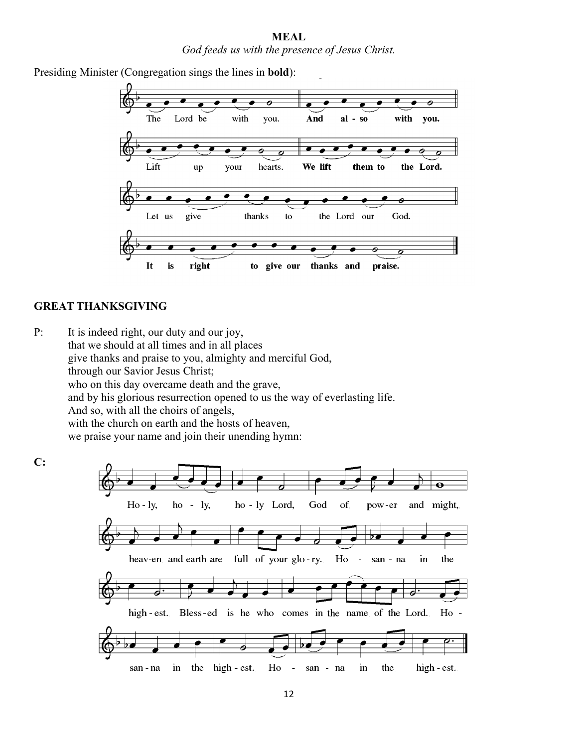**MEAL** *God feeds us with the presence of Jesus Christ.*

Presiding Minister (Congregation sings the lines in **bold**):



#### **GREAT THANKSGIVING**

P: It is indeed right, our duty and our joy, that we should at all times and in all places give thanks and praise to you, almighty and merciful God, through our Savior Jesus Christ; who on this day overcame death and the grave, and by his glorious resurrection opened to us the way of everlasting life. And so, with all the choirs of angels, with the church on earth and the hosts of heaven, we praise your name and join their unending hymn:



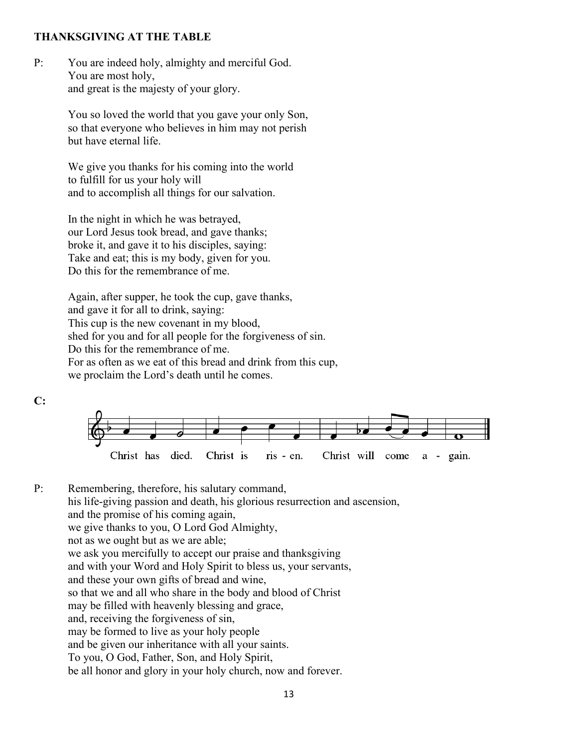### **THANKSGIVING AT THE TABLE**

P: You are indeed holy, almighty and merciful God. You are most holy, and great is the majesty of your glory.

> You so loved the world that you gave your only Son, so that everyone who believes in him may not perish but have eternal life.

We give you thanks for his coming into the world to fulfill for us your holy will and to accomplish all things for our salvation.

In the night in which he was betrayed, our Lord Jesus took bread, and gave thanks; broke it, and gave it to his disciples, saying: Take and eat; this is my body, given for you. Do this for the remembrance of me.

Again, after supper, he took the cup, gave thanks, and gave it for all to drink, saying: This cup is the new covenant in my blood, shed for you and for all people for the forgiveness of sin. Do this for the remembrance of me. For as often as we eat of this bread and drink from this cup, we proclaim the Lord's death until he comes.

# **C:**



P: Remembering, therefore, his salutary command, his life-giving passion and death, his glorious resurrection and ascension, and the promise of his coming again, we give thanks to you, O Lord God Almighty, not as we ought but as we are able; we ask you mercifully to accept our praise and thanksgiving and with your Word and Holy Spirit to bless us, your servants, and these your own gifts of bread and wine, so that we and all who share in the body and blood of Christ may be filled with heavenly blessing and grace, and, receiving the forgiveness of sin, may be formed to live as your holy people and be given our inheritance with all your saints. To you, O God, Father, Son, and Holy Spirit, be all honor and glory in your holy church, now and forever.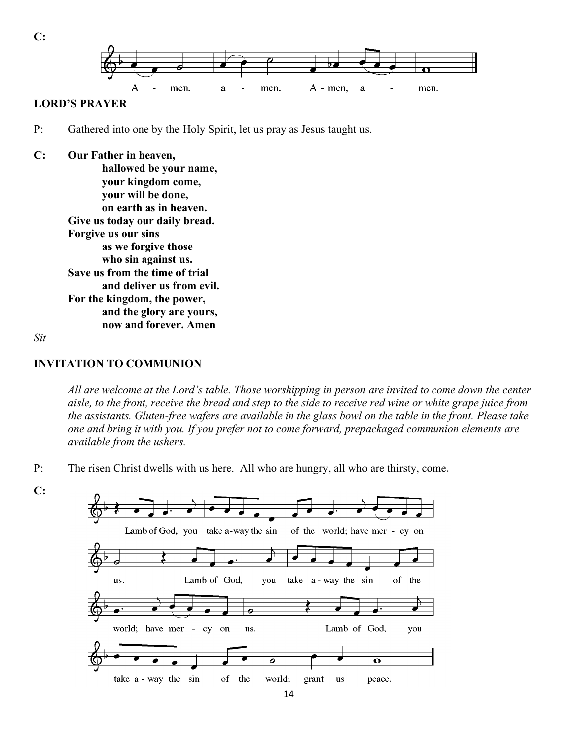

### **LORD'S PRAYER**

**C:**

P: Gathered into one by the Holy Spirit, let us pray as Jesus taught us.

**C: Our Father in heaven, hallowed be your name, your kingdom come, your will be done, on earth as in heaven. Give us today our daily bread. Forgive us our sins as we forgive those who sin against us. Save us from the time of trial and deliver us from evil. For the kingdom, the power, and the glory are yours, now and forever. Amen**

*Sit*

**C:**

#### **INVITATION TO COMMUNION**

*All are welcome at the Lord's table. Those worshipping in person are invited to come down the center aisle, to the front, receive the bread and step to the side to receive red wine or white grape juice from the assistants. Gluten-free wafers are available in the glass bowl on the table in the front. Please take one and bring it with you. If you prefer not to come forward, prepackaged communion elements are available from the ushers.*

P: The risen Christ dwells with us here. All who are hungry, all who are thirsty, come.

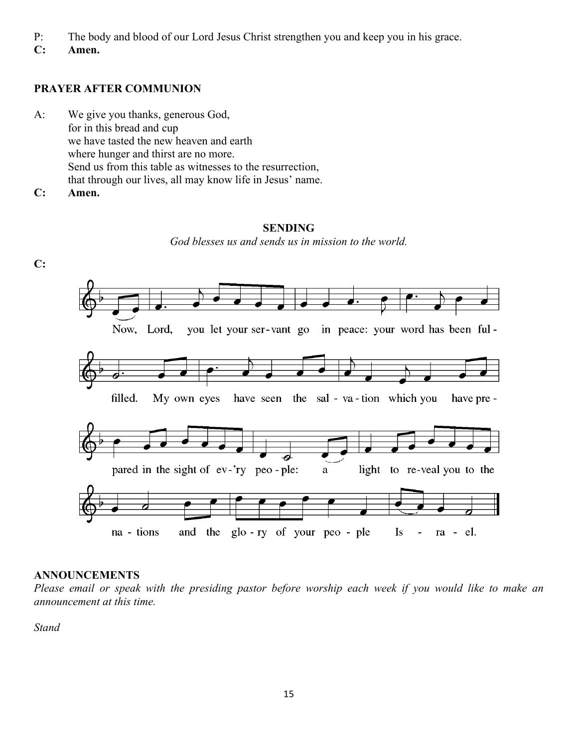- P: The body and blood of our Lord Jesus Christ strengthen you and keep you in his grace.
- **C: Amen.**

# **PRAYER AFTER COMMUNION**

- A: We give you thanks, generous God, for in this bread and cup we have tasted the new heaven and earth where hunger and thirst are no more. Send us from this table as witnesses to the resurrection, that through our lives, all may know life in Jesus' name.
- **C: Amen.**

### **SENDING**

*God blesses us and sends us in mission to the world.*



#### **ANNOUNCEMENTS**

*Please email or speak with the presiding pastor before worship each week if you would like to make an announcement at this time.*

*Stand*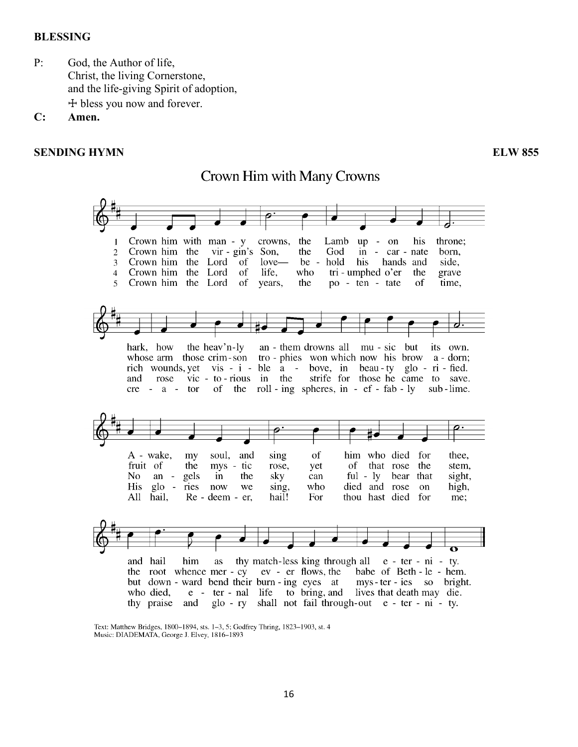#### **BLESSING**

- P: God, the Author of life, Christ, the living Cornerstone, and the life-giving Spirit of adoption, ☩ bless you now and forever.
- **C: Amen.**

#### **SENDING HYMN ELW 855**

#### **Crown Him with Many Crowns** Crown him with man - y crowns, the throne: Lamb  $up$  - on his  $\mathbf{1}$ Crown him the vir - gin's Son, the God in - car - nate born.  $\overline{2}$ Crown him the Lord of  $love$  be - hold 3 his hands and side. grave Crown him the Lord - of life. who tri - umphed o'er the  $\overline{4}$ 5 Crown him the Lord  $\circ$  of years, the po - ten - tate of time, hark, how the heav'n-ly an - them drowns all mu - sic but its own. whose arm those crim-son tro-phies won which now his brow a-dorn; rich wounds, yet vis - i - ble a - bove, in beau-ty glo - ri - fied.<br>and rose vic - to-rious in the strife for those he came to save. strife for those he came to save.  $cre - a - tor$ of the roll-ing spheres, in - ef - fab - ly sub-lime. A - wake, my soul, and sing of him who died for thee, fruit of the mys - tic rose, of that rose the stem, yet  $No$  $an$ gels in the sky can  $ful - ly$ bear that sight, died and rose His glo - ries  $\operatorname{now}$ we sing, who on high, All hail, Re - deem - er, For thou hast died hail! for me; and hail as thy match-less king through all  $e$  - ter - ni - ty. him babe of Beth - le - hem. the root whence mer - cy ev - er flows, the but down - ward bend their burn - ing eyes at mys-ter-ies so bright. e - ter - nal life to bring, and who died, lives that death may die.

Text: Matthew Bridges, 1800-1894, sts. 1-3, 5; Godfrey Thring, 1823-1903, st. 4 Music: DIADEMATA, George J. Elvey, 1816-1893

thy praise and

glo - ry shall not fail through-out e - ter - ni - ty.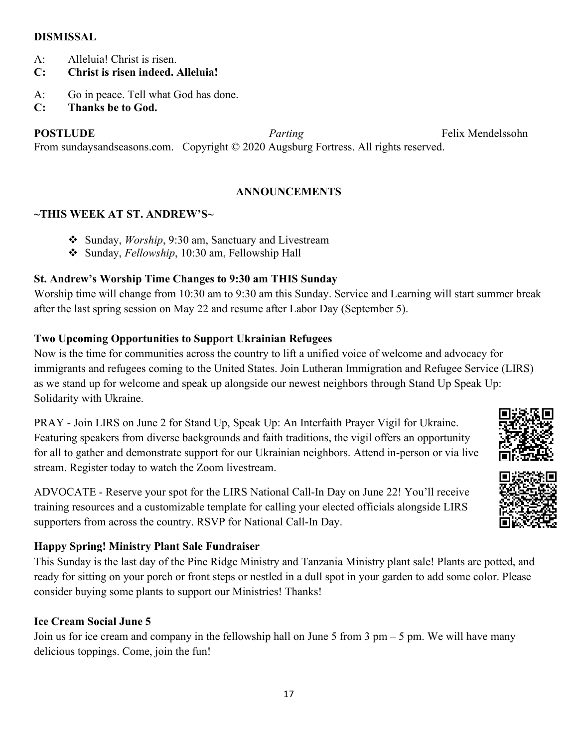### **DISMISSAL**

- A: Alleluia! Christ is risen.
- **C: Christ is risen indeed. Alleluia!**
- A: Go in peace. Tell what God has done.
- **C: Thanks be to God.**

**POSTLUDE** *PARTING Parting Parting* Felix Mendelssohn

From sundaysandseasons.com. Copyright © 2020 Augsburg Fortress. All rights reserved.

### **ANNOUNCEMENTS**

### **~THIS WEEK AT ST. ANDREW'S~**

- Sunday, *Worship*, 9:30 am, Sanctuary and Livestream
- Sunday, *Fellowship*, 10:30 am, Fellowship Hall

# **St. Andrew's Worship Time Changes to 9:30 am THIS Sunday**

Worship time will change from 10:30 am to 9:30 am this Sunday. Service and Learning will start summer break after the last spring session on May 22 and resume after Labor Day (September 5).

# **Two Upcoming Opportunities to Support Ukrainian Refugees**

Now is the time for communities across the country to lift a unified voice of welcome and advocacy for immigrants and refugees coming to the United States. Join Lutheran Immigration and Refugee Service (LIRS) as we stand up for welcome and speak up alongside our newest neighbors through Stand Up Speak Up: Solidarity with Ukraine. 

PRAY - Join LIRS on June 2 for Stand Up, Speak Up: An Interfaith Prayer Vigil for Ukraine. Featuring speakers from diverse backgrounds and faith traditions, the vigil offers an opportunity for all to gather and demonstrate support for our Ukrainian neighbors. Attend in-person or via live stream. Register today to watch the Zoom livestream.

ADVOCATE - Reserve your spot for the LIRS National Call-In Day on June 22! You'll receive training resources and a customizable template for calling your elected officials alongside LIRS supporters from across the country. RSVP for National Call-In Day.

# **Happy Spring! Ministry Plant Sale Fundraiser**

This Sunday is the last day of the Pine Ridge Ministry and Tanzania Ministry plant sale! Plants are potted, and ready for sitting on your porch or front steps or nestled in a dull spot in your garden to add some color. Please consider buying some plants to support our Ministries! Thanks!

# **Ice Cream Social June 5**

Join us for ice cream and company in the fellowship hall on June 5 from 3 pm – 5 pm. We will have many delicious toppings. Come, join the fun!



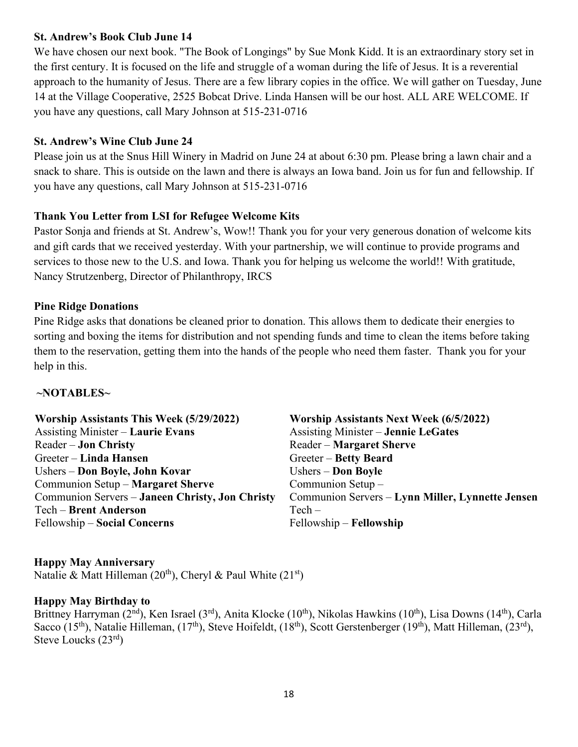### **St. Andrew's Book Club June 14**

We have chosen our next book. "The Book of Longings" by Sue Monk Kidd. It is an extraordinary story set in the first century. It is focused on the life and struggle of a woman during the life of Jesus. It is a reverential approach to the humanity of Jesus. There are a few library copies in the office. We will gather on Tuesday, June 14 at the Village Cooperative, 2525 Bobcat Drive. Linda Hansen will be our host. ALL ARE WELCOME. If you have any questions, call Mary Johnson at 515-231-0716

# **St. Andrew's Wine Club June 24**

Please join us at the Snus Hill Winery in Madrid on June 24 at about 6:30 pm. Please bring a lawn chair and a snack to share. This is outside on the lawn and there is always an Iowa band. Join us for fun and fellowship. If you have any questions, call Mary Johnson at 515-231-0716

### **Thank You Letter from LSI for Refugee Welcome Kits**

Pastor Sonja and friends at St. Andrew's, Wow!! Thank you for your very generous donation of welcome kits and gift cards that we received yesterday. With your partnership, we will continue to provide programs and services to those new to the U.S. and Iowa. Thank you for helping us welcome the world!! With gratitude, Nancy Strutzenberg, Director of Philanthropy, IRCS

### **Pine Ridge Donations**

Pine Ridge asks that donations be cleaned prior to donation. This allows them to dedicate their energies to sorting and boxing the items for distribution and not spending funds and time to clean the items before taking them to the reservation, getting them into the hands of the people who need them faster. Thank you for your help in this.

# **~NOTABLES~**

| <b>Worship Assistants Next Week (6/5/2022)</b>   |
|--------------------------------------------------|
| <b>Assisting Minister – Jennie LeGates</b>       |
| <b>Reader – Margaret Sherve</b>                  |
| Greeter – Betty Beard                            |
| Ushers - Don Boyle                               |
| Communion Setup -                                |
| Communion Servers - Lynn Miller, Lynnette Jensen |
| $Tech -$                                         |
| Fellowship - Fellowship                          |
|                                                  |

#### **Happy May Anniversary**

Natalie & Matt Hilleman (20<sup>th</sup>), Cheryl & Paul White (21<sup>st</sup>)

# **Happy May Birthday to**

Brittney Harryman (2<sup>nd</sup>), Ken Israel (3<sup>rd</sup>), Anita Klocke (10<sup>th</sup>), Nikolas Hawkins (10<sup>th</sup>), Lisa Downs (14<sup>th</sup>), Carla Sacco (15<sup>th</sup>), Natalie Hilleman, (17<sup>th</sup>), Steve Hoifeldt, (18<sup>th</sup>), Scott Gerstenberger (19<sup>th</sup>), Matt Hilleman, (23<sup>rd</sup>), Steve Loucks  $(23<sup>rd</sup>)$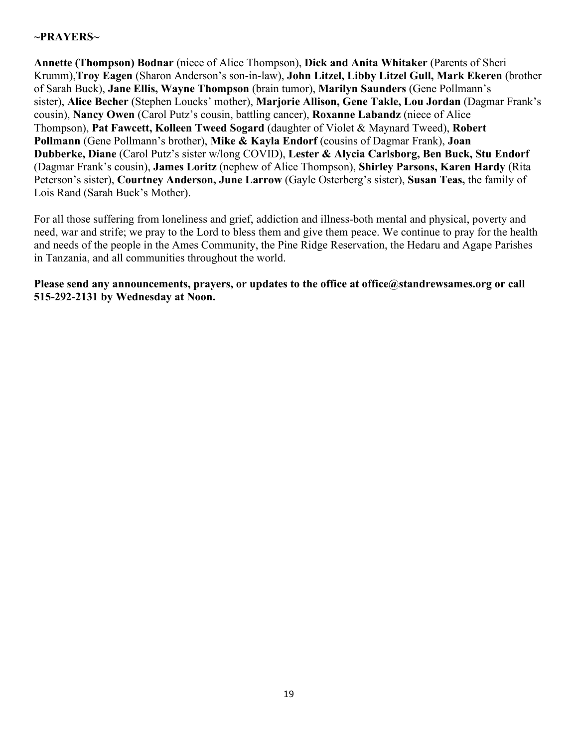### **~PRAYERS~**

**Annette (Thompson) Bodnar** (niece of Alice Thompson), **Dick and Anita Whitaker** (Parents of Sheri Krumm),**Troy Eagen** (Sharon Anderson's son-in-law), **John Litzel, Libby Litzel Gull, Mark Ekeren** (brother of Sarah Buck), **Jane Ellis, Wayne Thompson** (brain tumor), **Marilyn Saunders** (Gene Pollmann's sister), **Alice Becher** (Stephen Loucks' mother), **Marjorie Allison, Gene Takle, Lou Jordan** (Dagmar Frank's cousin), **Nancy Owen** (Carol Putz's cousin, battling cancer), **Roxanne Labandz** (niece of Alice Thompson), **Pat Fawcett, Kolleen Tweed Sogard** (daughter of Violet & Maynard Tweed), **Robert Pollmann** (Gene Pollmann's brother), **Mike & Kayla Endorf** (cousins of Dagmar Frank), **Joan Dubberke, Diane** (Carol Putz's sister w/long COVID), **Lester & Alycia Carlsborg, Ben Buck, Stu Endorf**  (Dagmar Frank's cousin), **James Loritz** (nephew of Alice Thompson), **Shirley Parsons, Karen Hardy** (Rita Peterson's sister), **Courtney Anderson, June Larrow** (Gayle Osterberg's sister), **Susan Teas,** the family of Lois Rand (Sarah Buck's Mother).

For all those suffering from loneliness and grief, addiction and illness-both mental and physical, poverty and need, war and strife; we pray to the Lord to bless them and give them peace. We continue to pray for the health and needs of the people in the Ames Community, the Pine Ridge Reservation, the Hedaru and Agape Parishes in Tanzania, and all communities throughout the world.

**Please send any announcements, prayers, or updates to the office at office@standrewsames.org or call 515-292-2131 by Wednesday at Noon.**